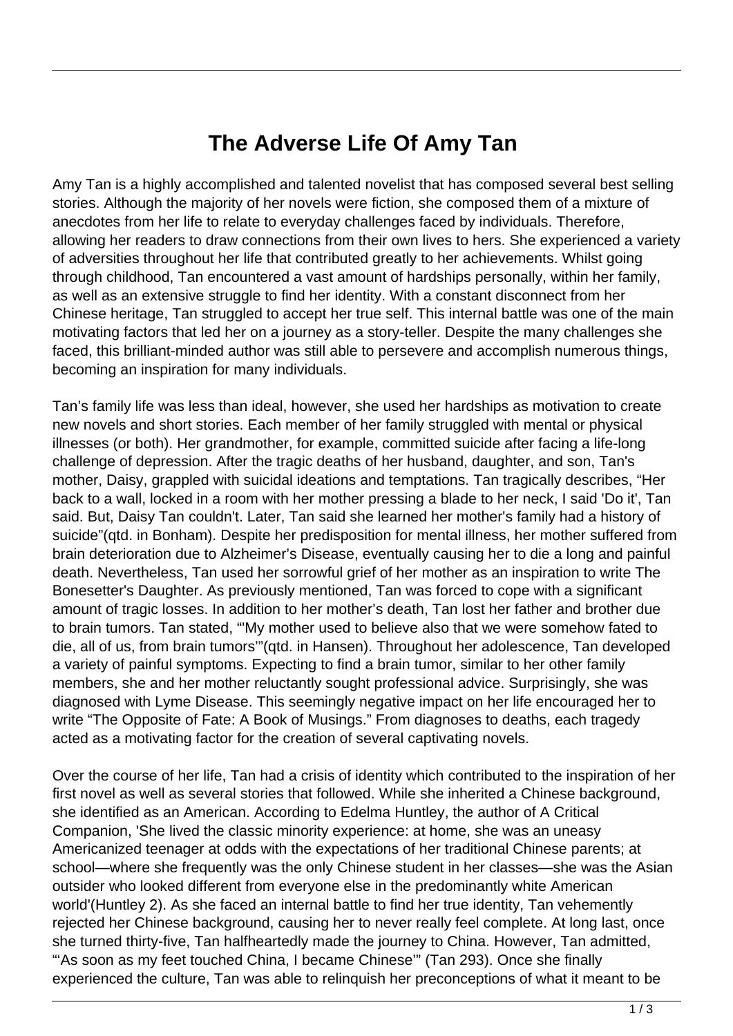## **The Adverse Life Of Amy Tan**

Amy Tan is a highly accomplished and talented novelist that has composed several best selling stories. Although the majority of her novels were fiction, she composed them of a mixture of anecdotes from her life to relate to everyday challenges faced by individuals. Therefore, allowing her readers to draw connections from their own lives to hers. She experienced a variety of adversities throughout her life that contributed greatly to her achievements. Whilst going through childhood, Tan encountered a vast amount of hardships personally, within her family, as well as an extensive struggle to find her identity. With a constant disconnect from her Chinese heritage, Tan struggled to accept her true self. This internal battle was one of the main motivating factors that led her on a journey as a story-teller. Despite the many challenges she faced, this brilliant-minded author was still able to persevere and accomplish numerous things, becoming an inspiration for many individuals.

Tan's family life was less than ideal, however, she used her hardships as motivation to create new novels and short stories. Each member of her family struggled with mental or physical illnesses (or both). Her grandmother, for example, committed suicide after facing a life-long challenge of depression. After the tragic deaths of her husband, daughter, and son, Tan's mother, Daisy, grappled with suicidal ideations and temptations. Tan tragically describes, "Her back to a wall, locked in a room with her mother pressing a blade to her neck, I said 'Do it', Tan said. But, Daisy Tan couldn't. Later, Tan said she learned her mother's family had a history of suicide"(qtd. in Bonham). Despite her predisposition for mental illness, her mother suffered from brain deterioration due to Alzheimer's Disease, eventually causing her to die a long and painful death. Nevertheless, Tan used her sorrowful grief of her mother as an inspiration to write The Bonesetter's Daughter. As previously mentioned, Tan was forced to cope with a significant amount of tragic losses. In addition to her mother's death, Tan lost her father and brother due to brain tumors. Tan stated, "'My mother used to believe also that we were somehow fated to die, all of us, from brain tumors'"(qtd. in Hansen). Throughout her adolescence, Tan developed a variety of painful symptoms. Expecting to find a brain tumor, similar to her other family members, she and her mother reluctantly sought professional advice. Surprisingly, she was diagnosed with Lyme Disease. This seemingly negative impact on her life encouraged her to write "The Opposite of Fate: A Book of Musings." From diagnoses to deaths, each tragedy acted as a motivating factor for the creation of several captivating novels.

Over the course of her life, Tan had a crisis of identity which contributed to the inspiration of her first novel as well as several stories that followed. While she inherited a Chinese background, she identified as an American. According to Edelma Huntley, the author of A Critical Companion, 'She lived the classic minority experience: at home, she was an uneasy Americanized teenager at odds with the expectations of her traditional Chinese parents; at school—where she frequently was the only Chinese student in her classes—she was the Asian outsider who looked different from everyone else in the predominantly white American world'(Huntley 2). As she faced an internal battle to find her true identity, Tan vehemently rejected her Chinese background, causing her to never really feel complete. At long last, once she turned thirty-five, Tan halfheartedly made the journey to China. However, Tan admitted, "'As soon as my feet touched China, I became Chinese"" (Tan 293). Once she finally experienced the culture, Tan was able to relinquish her preconceptions of what it meant to be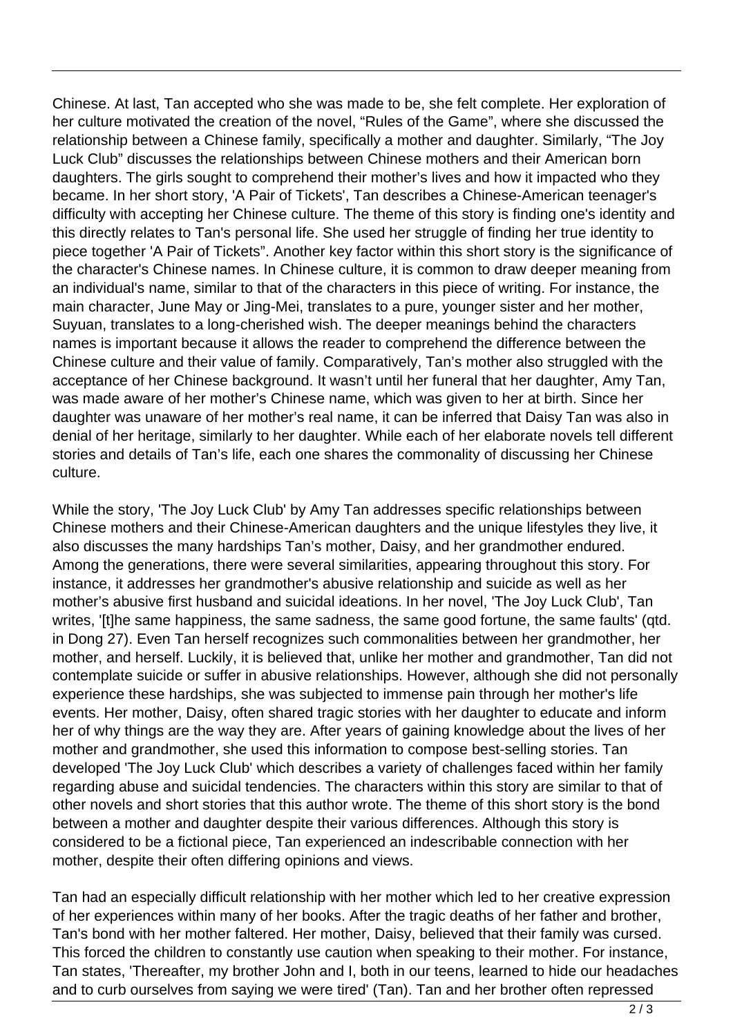Chinese. At last, Tan accepted who she was made to be, she felt complete. Her exploration of her culture motivated the creation of the novel, "Rules of the Game", where she discussed the relationship between a Chinese family, specifically a mother and daughter. Similarly, "The Joy Luck Club" discusses the relationships between Chinese mothers and their American born daughters. The girls sought to comprehend their mother's lives and how it impacted who they became. In her short story, 'A Pair of Tickets', Tan describes a Chinese-American teenager's difficulty with accepting her Chinese culture. The theme of this story is finding one's identity and this directly relates to Tan's personal life. She used her struggle of finding her true identity to piece together 'A Pair of Tickets". Another key factor within this short story is the significance of the character's Chinese names. In Chinese culture, it is common to draw deeper meaning from an individual's name, similar to that of the characters in this piece of writing. For instance, the main character, June May or Jing-Mei, translates to a pure, younger sister and her mother, Suyuan, translates to a long-cherished wish. The deeper meanings behind the characters names is important because it allows the reader to comprehend the difference between the Chinese culture and their value of family. Comparatively, Tan's mother also struggled with the acceptance of her Chinese background. It wasn't until her funeral that her daughter, Amy Tan, was made aware of her mother's Chinese name, which was given to her at birth. Since her daughter was unaware of her mother's real name, it can be inferred that Daisy Tan was also in denial of her heritage, similarly to her daughter. While each of her elaborate novels tell different stories and details of Tan's life, each one shares the commonality of discussing her Chinese culture.

While the story, 'The Joy Luck Club' by Amy Tan addresses specific relationships between Chinese mothers and their Chinese-American daughters and the unique lifestyles they live, it also discusses the many hardships Tan's mother, Daisy, and her grandmother endured. Among the generations, there were several similarities, appearing throughout this story. For instance, it addresses her grandmother's abusive relationship and suicide as well as her mother's abusive first husband and suicidal ideations. In her novel, 'The Joy Luck Club', Tan writes, '[t]he same happiness, the same sadness, the same good fortune, the same faults' (qtd. in Dong 27). Even Tan herself recognizes such commonalities between her grandmother, her mother, and herself. Luckily, it is believed that, unlike her mother and grandmother, Tan did not contemplate suicide or suffer in abusive relationships. However, although she did not personally experience these hardships, she was subjected to immense pain through her mother's life events. Her mother, Daisy, often shared tragic stories with her daughter to educate and inform her of why things are the way they are. After years of gaining knowledge about the lives of her mother and grandmother, she used this information to compose best-selling stories. Tan developed 'The Joy Luck Club' which describes a variety of challenges faced within her family regarding abuse and suicidal tendencies. The characters within this story are similar to that of other novels and short stories that this author wrote. The theme of this short story is the bond between a mother and daughter despite their various differences. Although this story is considered to be a fictional piece, Tan experienced an indescribable connection with her mother, despite their often differing opinions and views.

Tan had an especially difficult relationship with her mother which led to her creative expression of her experiences within many of her books. After the tragic deaths of her father and brother, Tan's bond with her mother faltered. Her mother, Daisy, believed that their family was cursed. This forced the children to constantly use caution when speaking to their mother. For instance, Tan states, 'Thereafter, my brother John and I, both in our teens, learned to hide our headaches and to curb ourselves from saying we were tired' (Tan). Tan and her brother often repressed